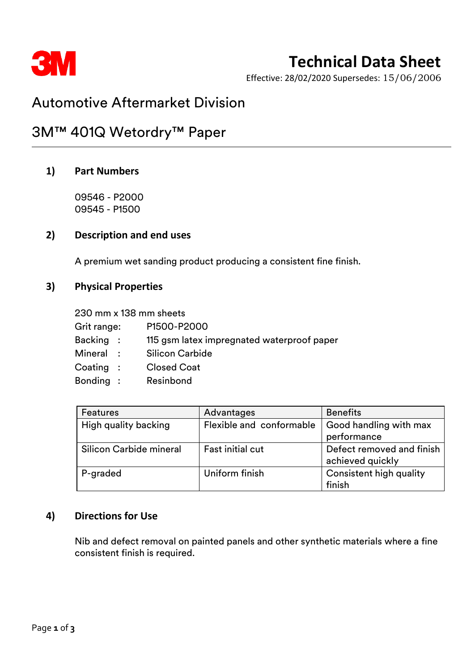

# **Technical Data Sheet**

Effective: 28/02/2020 Supersedes: 15/06/2006

## Automotive Aftermarket Division

## 3M™ 401Q Wetordry™ Paper

### **1) Part Numbers**

09546 - P2000 09545 - P1500

#### **2) Description and end uses**

A premium wet sanding product producing a consistent fine finish.

### **3) Physical Properties**

230 mm x 138 mm sheets Grit range: P1500-P2000 Backing : 115 gsm latex impregnated waterproof paper Mineral : Silicon Carbide Coating : Closed Coat Bonding : Resinbond

| <b>Features</b>         | Advantages               | <b>Benefits</b>           |
|-------------------------|--------------------------|---------------------------|
| High quality backing    | Flexible and conformable | Good handling with max    |
|                         |                          | performance               |
| Silicon Carbide mineral | <b>Fast initial cut</b>  | Defect removed and finish |
|                         |                          | achieved quickly          |
| P-graded                | Uniform finish           | Consistent high quality   |
|                         |                          | finish                    |

### **4) Directions for Use**

Nib and defect removal on painted panels and other synthetic materials where a fine consistent finish is required.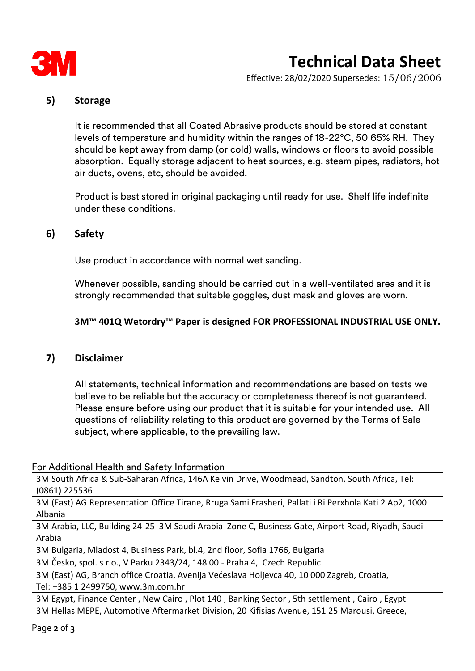

# **Technical Data Sheet**

Effective: 28/02/2020 Supersedes: 15/06/2006

### **5) Storage**

It is recommended that all Coated Abrasive products should be stored at constant levels of temperature and humidity within the ranges of 18-22°C, 50 65% RH. They should be kept away from damp (or cold) walls, windows or floors to avoid possible absorption. Equally storage adjacent to heat sources, e.g. steam pipes, radiators, hot air ducts, ovens, etc, should be avoided.

Product is best stored in original packaging until ready for use. Shelf life indefinite under these conditions.

### **6) Safety**

Use product in accordance with normal wet sanding.

Whenever possible, sanding should be carried out in a well-ventilated area and it is strongly recommended that suitable goggles, dust mask and gloves are worn.

#### **3M™ 401Q Wetordry™ Paper is designed FOR PROFESSIONAL INDUSTRIAL USE ONLY.**

### **7) Disclaimer**

All statements, technical information and recommendations are based on tests we believe to be reliable but the accuracy or completeness thereof is not guaranteed. Please ensure before using our product that it is suitable for your intended use. All questions of reliability relating to this product are governed by the Terms of Sale subject, where applicable, to the prevailing law.

For Additional Health and Safety Information

3M South Africa & Sub-Saharan Africa, 146A Kelvin Drive, Woodmead, Sandton, South Africa, Tel: (0861) 225536

3M (East) AG Representation Office Tirane, Rruga Sami Frasheri, Pallati i Ri Perxhola Kati 2 Ap2, 1000 Albania

3M Arabia, LLC, Building 24-25 3M Saudi Arabia Zone C, Business Gate, Airport Road, Riyadh, Saudi Arabia

3M Bulgaria, Mladost 4, Business Park, bl.4, 2nd floor, Sofia 1766, Bulgaria

3M Česko, spol. s r.o., V Parku 2343/24, 148 00 - Praha 4, Czech Republic

3M (East) AG, Branch office Croatia, Avenija Većeslava Holjevca 40, 10 000 Zagreb, Croatia, Tel: +385 1 2499750, www.3m.com.hr

3M Egypt, Finance Center , New Cairo , Plot 140 , Banking Sector , 5th settlement , Cairo , Egypt 3M Hellas MEPE, Automotive Aftermarket Division, 20 Kifisias Avenue, 151 25 Marousi, Greece,